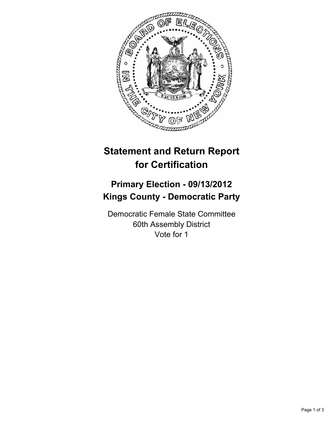

# **Statement and Return Report for Certification**

## **Primary Election - 09/13/2012 Kings County - Democratic Party**

Democratic Female State Committee 60th Assembly District Vote for 1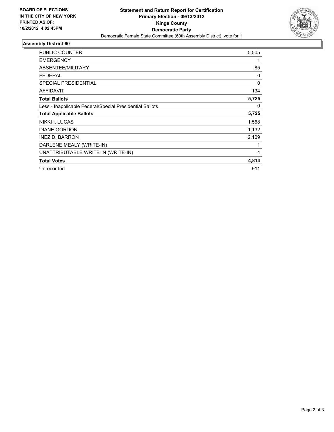

### **Assembly District 60**

| <b>PUBLIC COUNTER</b>                                    | 5,505 |
|----------------------------------------------------------|-------|
| <b>EMERGENCY</b>                                         |       |
| ABSENTEE/MILITARY                                        | 85    |
| <b>FEDERAL</b>                                           | 0     |
| <b>SPECIAL PRESIDENTIAL</b>                              | 0     |
| <b>AFFIDAVIT</b>                                         | 134   |
| <b>Total Ballots</b>                                     | 5,725 |
| Less - Inapplicable Federal/Special Presidential Ballots | 0     |
| <b>Total Applicable Ballots</b>                          | 5,725 |
| NIKKI I. LUCAS                                           | 1,568 |
| <b>DIANE GORDON</b>                                      | 1,132 |
| <b>INEZ D. BARRON</b>                                    | 2,109 |
| DARLENE MEALY (WRITE-IN)                                 | 1     |
| UNATTRIBUTABLE WRITE-IN (WRITE-IN)                       | 4     |
| <b>Total Votes</b>                                       | 4,814 |
| Unrecorded                                               | 911   |